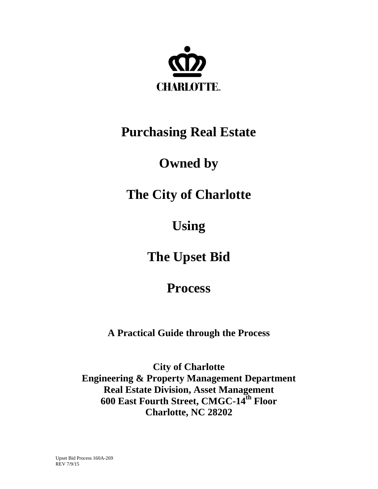

## **Purchasing Real Estate**

# **Owned by**

# **The City of Charlotte**

**Using**

**The Upset Bid**

## **Process**

**A Practical Guide through the Process**

**City of Charlotte Engineering & Property Management Department Real Estate Division, Asset Management 600 East Fourth Street, CMGC-14th Floor Charlotte, NC 28202**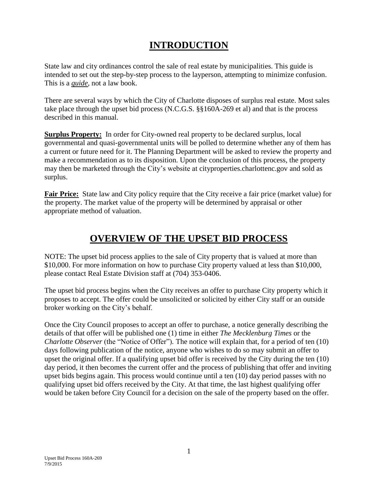## **INTRODUCTION**

State law and city ordinances control the sale of real estate by municipalities. This guide is intended to set out the step-by-step process to the layperson, attempting to minimize confusion. This is a *guide*, not a law book.

There are several ways by which the City of Charlotte disposes of surplus real estate. Most sales take place through the upset bid process (N.C.G.S. §§160A-269 et al) and that is the process described in this manual.

**Surplus Property:** In order for City-owned real property to be declared surplus, local governmental and quasi-governmental units will be polled to determine whether any of them has a current or future need for it. The Planning Department will be asked to review the property and make a recommendation as to its disposition. Upon the conclusion of this process, the property may then be marketed through the City's website at [cityproperties.charlottenc.gov](http://charmeck.org/city/charlotte/epm/CityProperties/Pages/default.aspx) and sold as surplus.

**Fair Price:** State law and City policy require that the City receive a fair price (market value) for the property. The market value of the property will be determined by appraisal or other appropriate method of valuation.

## **OVERVIEW OF THE UPSET BID PROCESS**

NOTE: The upset bid process applies to the sale of City property that is valued at more than \$10,000. For more information on how to purchase City property valued at less than \$10,000, please contact Real Estate Division staff at (704) 353-0406.

The upset bid process begins when the City receives an offer to purchase City property which it proposes to accept. The offer could be unsolicited or solicited by either City staff or an outside broker working on the City's behalf.

Once the City Council proposes to accept an offer to purchase, a notice generally describing the details of that offer will be published one (1) time in either *The Mecklenburg Times* or the *Charlotte Observer* (the "Notice of Offer"). The notice will explain that, for a period of ten (10) days following publication of the notice, anyone who wishes to do so may submit an offer to upset the original offer. If a qualifying upset bid offer is received by the City during the ten (10) day period, it then becomes the current offer and the process of publishing that offer and inviting upset bids begins again. This process would continue until a ten (10) day period passes with no qualifying upset bid offers received by the City. At that time, the last highest qualifying offer would be taken before City Council for a decision on the sale of the property based on the offer.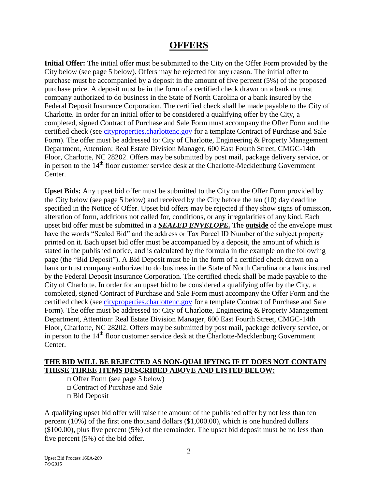### **OFFERS**

**Initial Offer:** The initial offer must be submitted to the City on the Offer Form provided by the City below (see page 5 below). Offers may be rejected for any reason. The initial offer to purchase must be accompanied by a deposit in the amount of five percent (5%) of the proposed purchase price. A deposit must be in the form of a certified check drawn on a bank or trust company authorized to do business in the State of North Carolina or a bank insured by the Federal Deposit Insurance Corporation. The certified check shall be made payable to the City of Charlotte. In order for an initial offer to be considered a qualifying offer by the City, a completed, signed Contract of Purchase and Sale Form must accompany the Offer Form and the certified check (see [cityproperties.charlottenc.gov](http://charmeck.org/city/charlotte/epm/CityProperties/Pages/default.aspx) for a template Contract of Purchase and Sale Form). The offer must be addressed to: City of Charlotte, Engineering & Property Management Department, Attention: Real Estate Division Manager, 600 East Fourth Street, CMGC-14th Floor, Charlotte, NC 28202. Offers may be submitted by post mail, package delivery service, or in person to the  $14<sup>th</sup>$  floor customer service desk at the Charlotte-Mecklenburg Government Center.

**Upset Bids:** Any upset bid offer must be submitted to the City on the Offer Form provided by the City below (see page 5 below) and received by the City before the ten (10) day deadline specified in the Notice of Offer. Upset bid offers may be rejected if they show signs of omission, alteration of form, additions not called for, conditions, or any irregularities of any kind. Each upset bid offer must be submitted in a *SEALED ENVELOPE.* The **outside** of the envelope must have the words "Sealed Bid" and the address or Tax Parcel ID Number of the subject property printed on it. Each upset bid offer must be accompanied by a deposit, the amount of which is stated in the published notice, and is calculated by the formula in the example on the following page (the "Bid Deposit"). A Bid Deposit must be in the form of a certified check drawn on a bank or trust company authorized to do business in the State of North Carolina or a bank insured by the Federal Deposit Insurance Corporation. The certified check shall be made payable to the City of Charlotte. In order for an upset bid to be considered a qualifying offer by the City, a completed, signed Contract of Purchase and Sale Form must accompany the Offer Form and the certified check (see [cityproperties.charlottenc.gov](http://charmeck.org/city/charlotte/epm/CityProperties/Pages/default.aspx) for a template Contract of Purchase and Sale Form). The offer must be addressed to: City of Charlotte, Engineering & Property Management Department, Attention: Real Estate Division Manager, 600 East Fourth Street, CMGC-14th Floor, Charlotte, NC 28202. Offers may be submitted by post mail, package delivery service, or in person to the 14<sup>th</sup> floor customer service desk at the Charlotte-Mecklenburg Government Center.

#### **THE BID WILL BE REJECTED AS NON-QUALIFYING IF IT DOES NOT CONTAIN THESE THREE ITEMS DESCRIBED ABOVE AND LISTED BELOW:**

 $\Box$  Offer Form (see page 5 below)

□ Contract of Purchase and Sale

□ Bid Deposit

A qualifying upset bid offer will raise the amount of the published offer by not less than ten percent (10%) of the first one thousand dollars (\$1,000.00), which is one hundred dollars (\$100.00), plus five percent (5%) of the remainder. The upset bid deposit must be no less than five percent (5%) of the bid offer.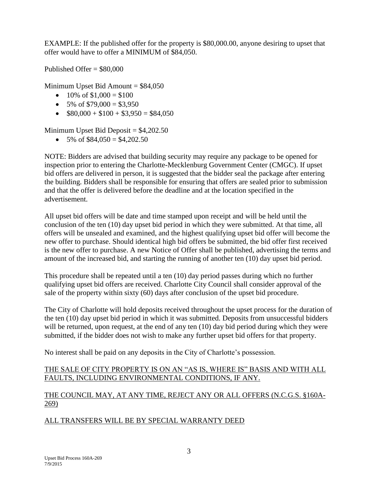EXAMPLE: If the published offer for the property is \$80,000.00, anyone desiring to upset that offer would have to offer a MINIMUM of \$84,050.

Published Offer  $= $80,000$ 

Minimum Upset Bid Amount  $= $84,050$ 

- $\bullet$  10% of \$1,000 = \$100
- $\bullet$  5% of \$79,000 = \$3,950
- $\bullet$  \$80,000 + \$100 + \$3,950 = \$84,050

Minimum Upset Bid Deposit  $= $4,202.50$ 

 $\bullet$  5% of \$84,050 = \$4,202.50

NOTE: Bidders are advised that building security may require any package to be opened for inspection prior to entering the Charlotte-Mecklenburg Government Center (CMGC). If upset bid offers are delivered in person, it is suggested that the bidder seal the package after entering the building. Bidders shall be responsible for ensuring that offers are sealed prior to submission and that the offer is delivered before the deadline and at the location specified in the advertisement.

All upset bid offers will be date and time stamped upon receipt and will be held until the conclusion of the ten (10) day upset bid period in which they were submitted. At that time, all offers will be unsealed and examined, and the highest qualifying upset bid offer will become the new offer to purchase. Should identical high bid offers be submitted, the bid offer first received is the new offer to purchase. A new Notice of Offer shall be published, advertising the terms and amount of the increased bid, and starting the running of another ten (10) day upset bid period.

This procedure shall be repeated until a ten (10) day period passes during which no further qualifying upset bid offers are received. Charlotte City Council shall consider approval of the sale of the property within sixty (60) days after conclusion of the upset bid procedure.

The City of Charlotte will hold deposits received throughout the upset process for the duration of the ten (10) day upset bid period in which it was submitted. Deposits from unsuccessful bidders will be returned, upon request, at the end of any ten (10) day bid period during which they were submitted, if the bidder does not wish to make any further upset bid offers for that property.

No interest shall be paid on any deposits in the City of Charlotte's possession.

#### THE SALE OF CITY PROPERTY IS ON AN "AS IS, WHERE IS" BASIS AND WITH ALL FAULTS, INCLUDING ENVIRONMENTAL CONDITIONS, IF ANY.

#### THE COUNCIL MAY, AT ANY TIME, REJECT ANY OR ALL OFFERS (N.C.G.S. §160A-269)

#### ALL TRANSFERS WILL BE BY SPECIAL WARRANTY DEED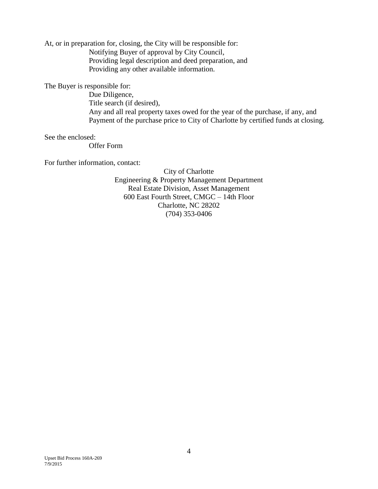At, or in preparation for, closing, the City will be responsible for:

Notifying Buyer of approval by City Council, Providing legal description and deed preparation, and Providing any other available information.

The Buyer is responsible for:

Due Diligence, Title search (if desired), Any and all real property taxes owed for the year of the purchase, if any, and Payment of the purchase price to City of Charlotte by certified funds at closing.

See the enclosed:

Offer Form

For further information, contact:

City of Charlotte Engineering & Property Management Department Real Estate Division, Asset Management 600 East Fourth Street, CMGC – 14th Floor Charlotte, NC 28202 (704) 353-0406